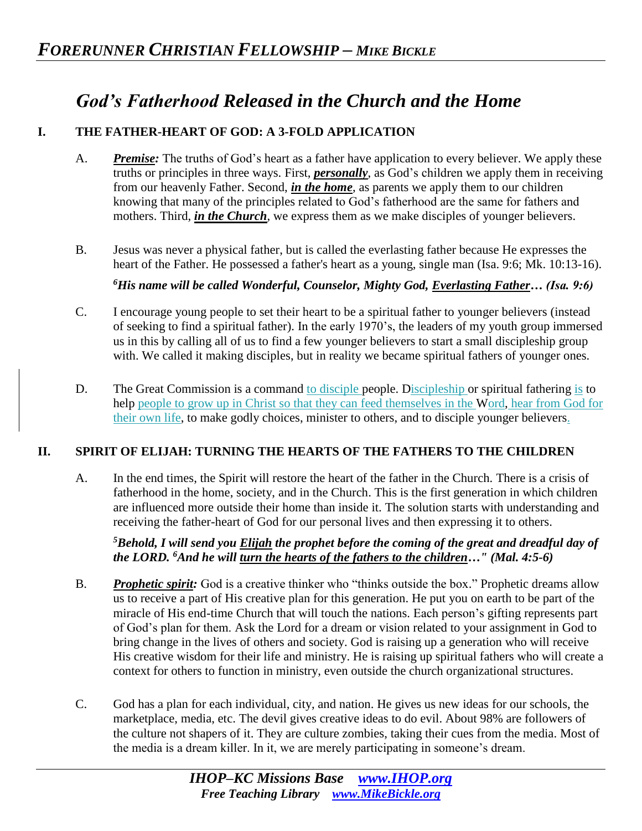## *God's Fatherhood Released in the Church and the Home*

## **I. THE FATHER-HEART OF GOD: A 3-FOLD APPLICATION**

- A. *Premise:* The truths of God's heart as a father have application to every believer. We apply these truths or principles in three ways. First, *personally*, as God's children we apply them in receiving from our heavenly Father. Second, *in the home*, as parents we apply them to our children knowing that many of the principles related to God's fatherhood are the same for fathers and mothers. Third, *in the Church*, we express them as we make disciples of younger believers.
- B. Jesus was never a physical father, but is called the everlasting father because He expresses the heart of the Father. He possessed a father's heart as a young, single man (Isa. 9:6; Mk. 10:13-16).

*<sup>6</sup>His name will be called Wonderful, Counselor, Mighty God, Everlasting Father… (Isa. 9:6)* 

- C. I encourage young people to set their heart to be a spiritual father to younger believers (instead of seeking to find a spiritual father). In the early 1970's, the leaders of my youth group immersed us in this by calling all of us to find a few younger believers to start a small discipleship group with. We called it making disciples, but in reality we became spiritual fathers of younger ones.
- D. The Great Commission is a command to disciple people. Discipleship or spiritual fathering is to help people to grow up in Christ so that they can feed themselves in the Word, hear from God for their own life, to make godly choices, minister to others, and to disciple younger believers.

## **II. SPIRIT OF ELIJAH: TURNING THE HEARTS OF THE FATHERS TO THE CHILDREN**

A. In the end times, the Spirit will restore the heart of the father in the Church. There is a crisis of fatherhood in the home, society, and in the Church. This is the first generation in which children are influenced more outside their home than inside it. The solution starts with understanding and receiving the father-heart of God for our personal lives and then expressing it to others.

*<sup>5</sup>Behold, I will send you Elijah the prophet before the coming of the great and dreadful day of the LORD. <sup>6</sup>And he will turn the hearts of the fathers to the children…" (Mal. 4:5-6)* 

- B. *Prophetic spirit:* God is a creative thinker who "thinks outside the box." Prophetic dreams allow us to receive a part of His creative plan for this generation. He put you on earth to be part of the miracle of His end-time Church that will touch the nations. Each person's gifting represents part of God's plan for them. Ask the Lord for a dream or vision related to your assignment in God to bring change in the lives of others and society. God is raising up a generation who will receive His creative wisdom for their life and ministry. He is raising up spiritual fathers who will create a context for others to function in ministry, even outside the church organizational structures.
- C. God has a plan for each individual, city, and nation. He gives us new ideas for our schools, the marketplace, media, etc. The devil gives creative ideas to do evil. About 98% are followers of the culture not shapers of it. They are culture zombies, taking their cues from the media. Most of the media is a dream killer. In it, we are merely participating in someone's dream.